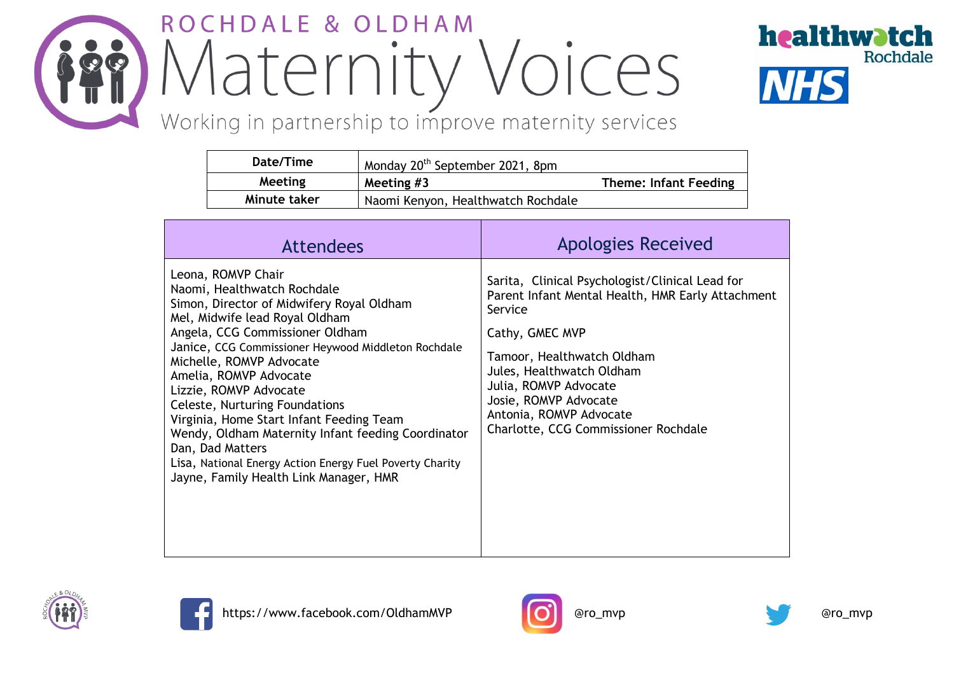# ROCHDALE & OLDHAM Maternity Voices



## Working in partnership to improve maternity services

| Date/Time    | Monday 20 <sup>th</sup> September 2021, 8pm |                              |
|--------------|---------------------------------------------|------------------------------|
| Meeting      | Meeting $#3$                                | <b>Theme: Infant Feeding</b> |
| Minute taker | Naomi Kenyon, Healthwatch Rochdale          |                              |

| <b>Attendees</b>                                                                                                                                                                                                                                                                                                                                                                                                                                                                                                                                                         | <b>Apologies Received</b>                                                                                                                                                                                                                                                                                          |
|--------------------------------------------------------------------------------------------------------------------------------------------------------------------------------------------------------------------------------------------------------------------------------------------------------------------------------------------------------------------------------------------------------------------------------------------------------------------------------------------------------------------------------------------------------------------------|--------------------------------------------------------------------------------------------------------------------------------------------------------------------------------------------------------------------------------------------------------------------------------------------------------------------|
| Leona, ROMVP Chair<br>Naomi, Healthwatch Rochdale<br>Simon, Director of Midwifery Royal Oldham<br>Mel, Midwife lead Royal Oldham<br>Angela, CCG Commissioner Oldham<br>Janice, CCG Commissioner Heywood Middleton Rochdale<br>Michelle, ROMVP Advocate<br>Amelia, ROMVP Advocate<br>Lizzie, ROMVP Advocate<br>Celeste, Nurturing Foundations<br>Virginia, Home Start Infant Feeding Team<br>Wendy, Oldham Maternity Infant feeding Coordinator<br>Dan, Dad Matters<br>Lisa, National Energy Action Energy Fuel Poverty Charity<br>Jayne, Family Health Link Manager, HMR | Sarita, Clinical Psychologist/Clinical Lead for<br>Parent Infant Mental Health, HMR Early Attachment<br>Service<br>Cathy, GMEC MVP<br>Tamoor, Healthwatch Oldham<br>Jules, Healthwatch Oldham<br>Julia, ROMVP Advocate<br>Josie, ROMVP Advocate<br>Antonia, ROMVP Advocate<br>Charlotte, CCG Commissioner Rochdale |







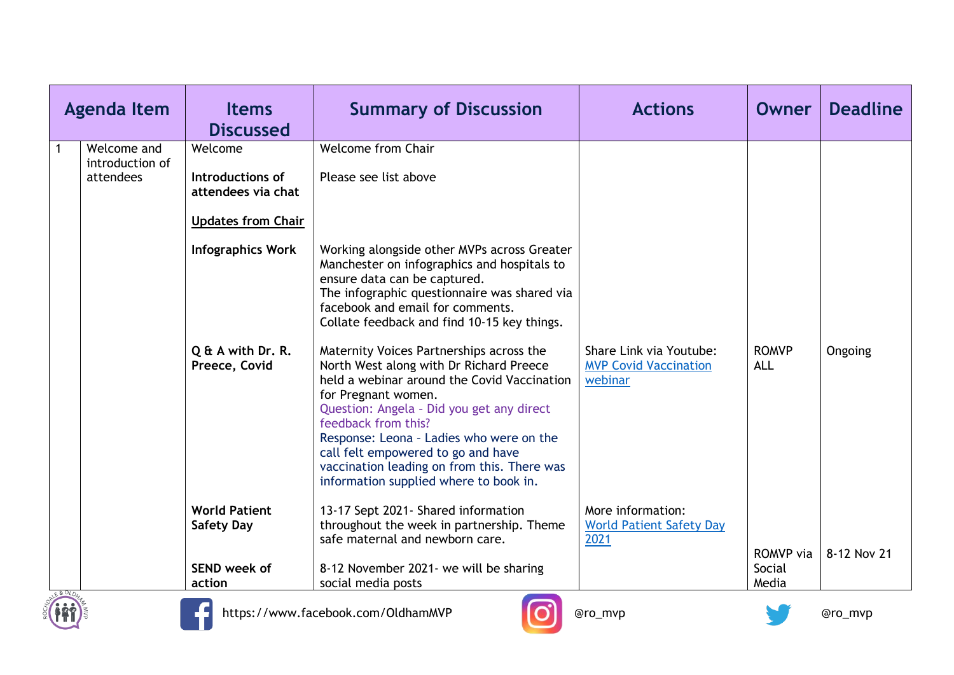|              | <b>Agenda Item</b>                          | <b>Items</b><br><b>Discussed</b>                                               | <b>Summary of Discussion</b>                                                                                                                                                                                                                                                                                                                                                                             | <b>Actions</b>                                                     | Owner                      | <b>Deadline</b> |
|--------------|---------------------------------------------|--------------------------------------------------------------------------------|----------------------------------------------------------------------------------------------------------------------------------------------------------------------------------------------------------------------------------------------------------------------------------------------------------------------------------------------------------------------------------------------------------|--------------------------------------------------------------------|----------------------------|-----------------|
| $\mathbf{1}$ | Welcome and<br>introduction of<br>attendees | Welcome<br>Introductions of<br>attendees via chat<br><b>Updates from Chair</b> | <b>Welcome from Chair</b><br>Please see list above                                                                                                                                                                                                                                                                                                                                                       |                                                                    |                            |                 |
|              |                                             | <b>Infographics Work</b>                                                       | Working alongside other MVPs across Greater<br>Manchester on infographics and hospitals to<br>ensure data can be captured.<br>The infographic questionnaire was shared via<br>facebook and email for comments.<br>Collate feedback and find 10-15 key things.                                                                                                                                            |                                                                    |                            |                 |
|              |                                             | Q & A with Dr. R.<br>Preece, Covid                                             | Maternity Voices Partnerships across the<br>North West along with Dr Richard Preece<br>held a webinar around the Covid Vaccination<br>for Pregnant women.<br>Question: Angela - Did you get any direct<br>feedback from this?<br>Response: Leona - Ladies who were on the<br>call felt empowered to go and have<br>vaccination leading on from this. There was<br>information supplied where to book in. | Share Link via Youtube:<br><b>MVP Covid Vaccination</b><br>webinar | <b>ROMVP</b><br><b>ALL</b> | Ongoing         |
|              |                                             | <b>World Patient</b><br><b>Safety Day</b>                                      | 13-17 Sept 2021- Shared information<br>throughout the week in partnership. Theme<br>safe maternal and newborn care.                                                                                                                                                                                                                                                                                      | More information:<br><b>World Patient Safety Day</b><br>2021       | <b>ROMVP</b> via           | 8-12 Nov 21     |
| LE& OLDN     |                                             | SEND week of<br>action                                                         | 8-12 November 2021- we will be sharing<br>social media posts                                                                                                                                                                                                                                                                                                                                             |                                                                    | Social<br>Media            |                 |





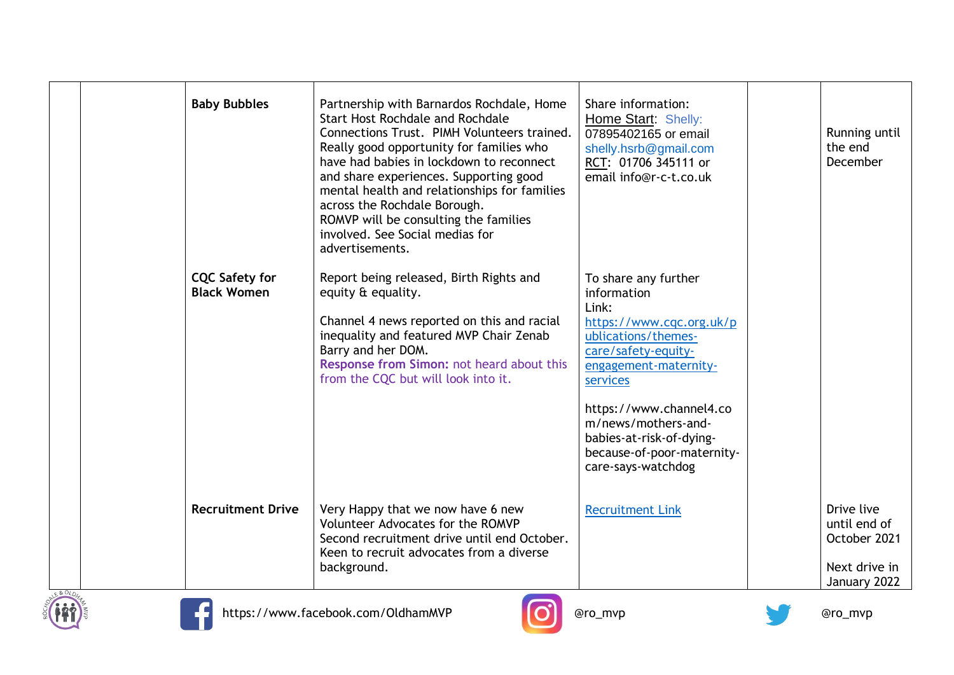|            | <b>Baby Bubbles</b>                         | Partnership with Barnardos Rochdale, Home<br><b>Start Host Rochdale and Rochdale</b><br>Connections Trust. PIMH Volunteers trained.<br>Really good opportunity for families who<br>have had babies in lockdown to reconnect<br>and share experiences. Supporting good<br>mental health and relationships for families<br>across the Rochdale Borough.<br>ROMVP will be consulting the families<br>involved. See Social medias for<br>advertisements. | Share information:<br>Home Start: Shelly:<br>07895402165 or email<br>shelly.hsrb@gmail.com<br>RCT: 01706 345111 or<br>email info@r-c-t.co.uk                                                                                                                                                  | Running until<br>the end<br>December                                        |
|------------|---------------------------------------------|------------------------------------------------------------------------------------------------------------------------------------------------------------------------------------------------------------------------------------------------------------------------------------------------------------------------------------------------------------------------------------------------------------------------------------------------------|-----------------------------------------------------------------------------------------------------------------------------------------------------------------------------------------------------------------------------------------------------------------------------------------------|-----------------------------------------------------------------------------|
|            | <b>CQC Safety for</b><br><b>Black Women</b> | Report being released, Birth Rights and<br>equity & equality.<br>Channel 4 news reported on this and racial<br>inequality and featured MVP Chair Zenab<br>Barry and her DOM.<br>Response from Simon: not heard about this<br>from the CQC but will look into it.                                                                                                                                                                                     | To share any further<br>information<br>Link:<br>https://www.cqc.org.uk/p<br>ublications/themes-<br>care/safety-equity-<br>engagement-maternity-<br>services<br>https://www.channel4.co<br>m/news/mothers-and-<br>babies-at-risk-of-dying-<br>because-of-poor-maternity-<br>care-says-watchdog |                                                                             |
| ALE & OLDH | <b>Recruitment Drive</b>                    | Very Happy that we now have 6 new<br>Volunteer Advocates for the ROMVP<br>Second recruitment drive until end October.<br>Keen to recruit advocates from a diverse<br>background.                                                                                                                                                                                                                                                                     | <b>Recruitment Link</b>                                                                                                                                                                                                                                                                       | Drive live<br>until end of<br>October 2021<br>Next drive in<br>January 2022 |







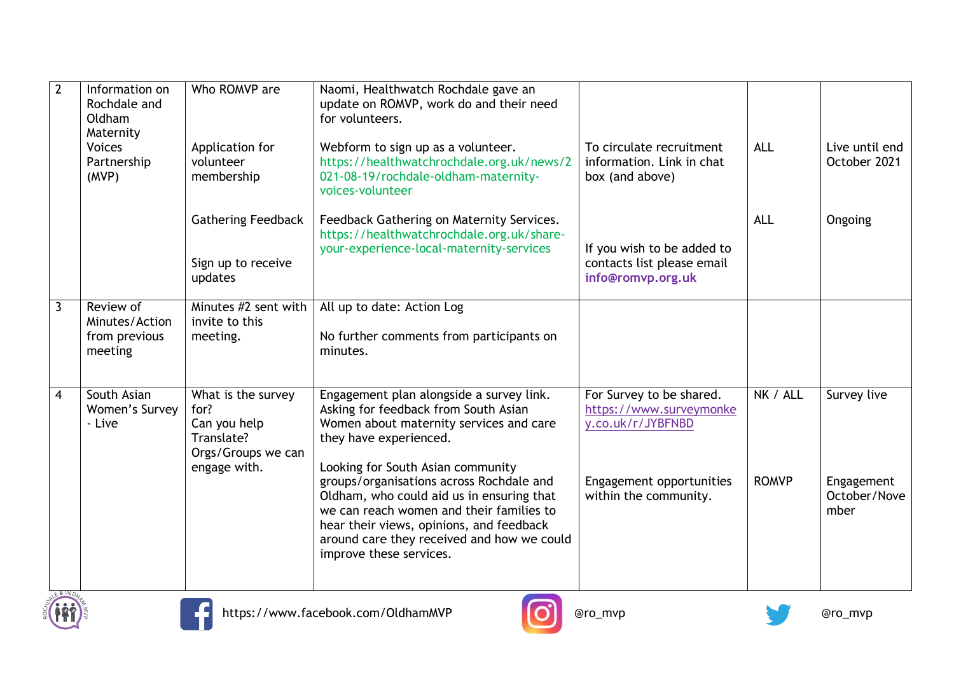| $\overline{2}$          | Information on<br>Rochdale and<br>Oldham<br>Maternity   | Who ROMVP are                                                                                  | Naomi, Healthwatch Rochdale gave an<br>update on ROMVP, work do and their need<br>for volunteers.                                                                                                                                                                                                                                                                                                                                                    |                                                                                                                               |                          |                                                   |
|-------------------------|---------------------------------------------------------|------------------------------------------------------------------------------------------------|------------------------------------------------------------------------------------------------------------------------------------------------------------------------------------------------------------------------------------------------------------------------------------------------------------------------------------------------------------------------------------------------------------------------------------------------------|-------------------------------------------------------------------------------------------------------------------------------|--------------------------|---------------------------------------------------|
|                         | <b>Voices</b><br>Partnership<br>(MVP)                   | Application for<br>volunteer<br>membership                                                     | Webform to sign up as a volunteer.<br>https://healthwatchrochdale.org.uk/news/2<br>021-08-19/rochdale-oldham-maternity-<br>voices-volunteer                                                                                                                                                                                                                                                                                                          | To circulate recruitment<br>information. Link in chat<br>box (and above)                                                      | <b>ALL</b>               | Live until end<br>October 2021                    |
|                         |                                                         | <b>Gathering Feedback</b><br>Sign up to receive<br>updates                                     | Feedback Gathering on Maternity Services.<br>https://healthwatchrochdale.org.uk/share-<br>your-experience-local-maternity-services                                                                                                                                                                                                                                                                                                                   | If you wish to be added to<br>contacts list please email<br>info@romvp.org.uk                                                 | <b>ALL</b>               | Ongoing                                           |
| $\mathbf{3}$            | Review of<br>Minutes/Action<br>from previous<br>meeting | Minutes #2 sent with<br>invite to this<br>meeting.                                             | All up to date: Action Log<br>No further comments from participants on<br>minutes.                                                                                                                                                                                                                                                                                                                                                                   |                                                                                                                               |                          |                                                   |
| $\overline{\mathbf{4}}$ | South Asian<br>Women's Survey<br>- Live                 | What is the survey<br>for?<br>Can you help<br>Translate?<br>Orgs/Groups we can<br>engage with. | Engagement plan alongside a survey link.<br>Asking for feedback from South Asian<br>Women about maternity services and care<br>they have experienced.<br>Looking for South Asian community<br>groups/organisations across Rochdale and<br>Oldham, who could aid us in ensuring that<br>we can reach women and their families to<br>hear their views, opinions, and feedback<br>around care they received and how we could<br>improve these services. | For Survey to be shared.<br>https://www.surveymonke<br>y.co.uk/r/JYBFNBD<br>Engagement opportunities<br>within the community. | NK / ALL<br><b>ROMVP</b> | Survey live<br>Engagement<br>October/Nove<br>mber |
| LE&OLDH                 |                                                         |                                                                                                |                                                                                                                                                                                                                                                                                                                                                                                                                                                      |                                                                                                                               |                          |                                                   |





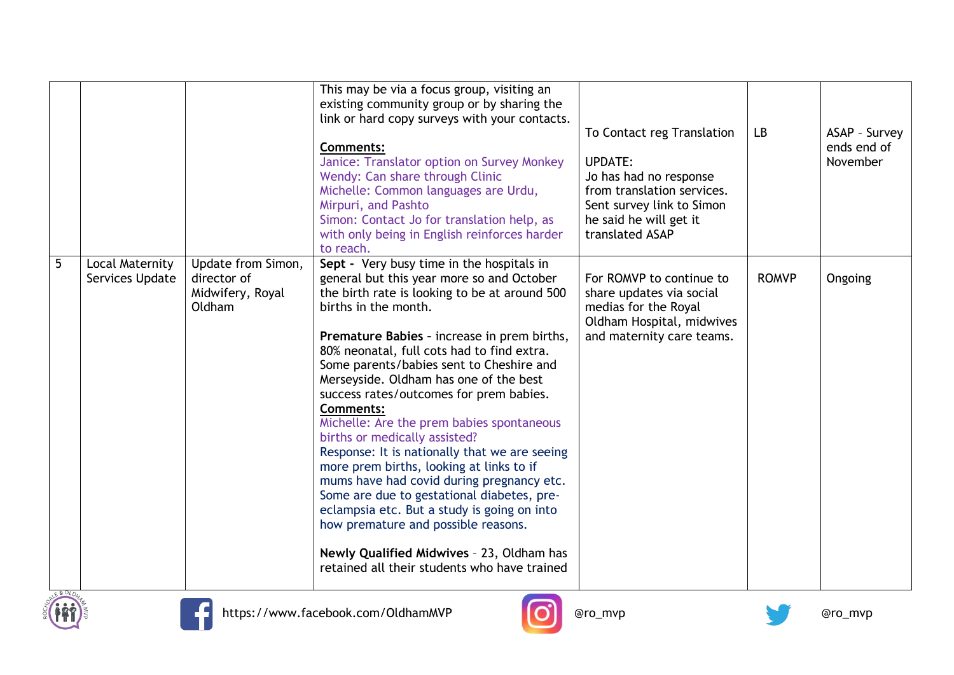|             |                                    |                                                                 | This may be via a focus group, visiting an<br>existing community group or by sharing the<br>link or hard copy surveys with your contacts.<br><b>Comments:</b><br>Janice: Translator option on Survey Monkey<br>Wendy: Can share through Clinic<br>Michelle: Common languages are Urdu,<br>Mirpuri, and Pashto<br>Simon: Contact Jo for translation help, as<br>with only being in English reinforces harder<br>to reach.                                                                                                                                                                                                                                                                                                                                                                                                                                                   | To Contact reg Translation<br><b>UPDATE:</b><br>Jo has had no response<br>from translation services.<br>Sent survey link to Simon<br>he said he will get it<br>translated ASAP | <b>LB</b>    | ASAP - Survey<br>ends end of<br>November |
|-------------|------------------------------------|-----------------------------------------------------------------|----------------------------------------------------------------------------------------------------------------------------------------------------------------------------------------------------------------------------------------------------------------------------------------------------------------------------------------------------------------------------------------------------------------------------------------------------------------------------------------------------------------------------------------------------------------------------------------------------------------------------------------------------------------------------------------------------------------------------------------------------------------------------------------------------------------------------------------------------------------------------|--------------------------------------------------------------------------------------------------------------------------------------------------------------------------------|--------------|------------------------------------------|
| 5<br>E&OLD4 | Local Maternity<br>Services Update | Update from Simon,<br>director of<br>Midwifery, Royal<br>Oldham | Sept - Very busy time in the hospitals in<br>general but this year more so and October<br>the birth rate is looking to be at around 500<br>births in the month.<br>Premature Babies - increase in prem births,<br>80% neonatal, full cots had to find extra.<br>Some parents/babies sent to Cheshire and<br>Merseyside. Oldham has one of the best<br>success rates/outcomes for prem babies.<br><b>Comments:</b><br>Michelle: Are the prem babies spontaneous<br>births or medically assisted?<br>Response: It is nationally that we are seeing<br>more prem births, looking at links to if<br>mums have had covid during pregnancy etc.<br>Some are due to gestational diabetes, pre-<br>eclampsia etc. But a study is going on into<br>how premature and possible reasons.<br>Newly Qualified Midwives - 23, Oldham has<br>retained all their students who have trained | For ROMVP to continue to<br>share updates via social<br>medias for the Royal<br>Oldham Hospital, midwives<br>and maternity care teams.                                         | <b>ROMVP</b> | Ongoing                                  |







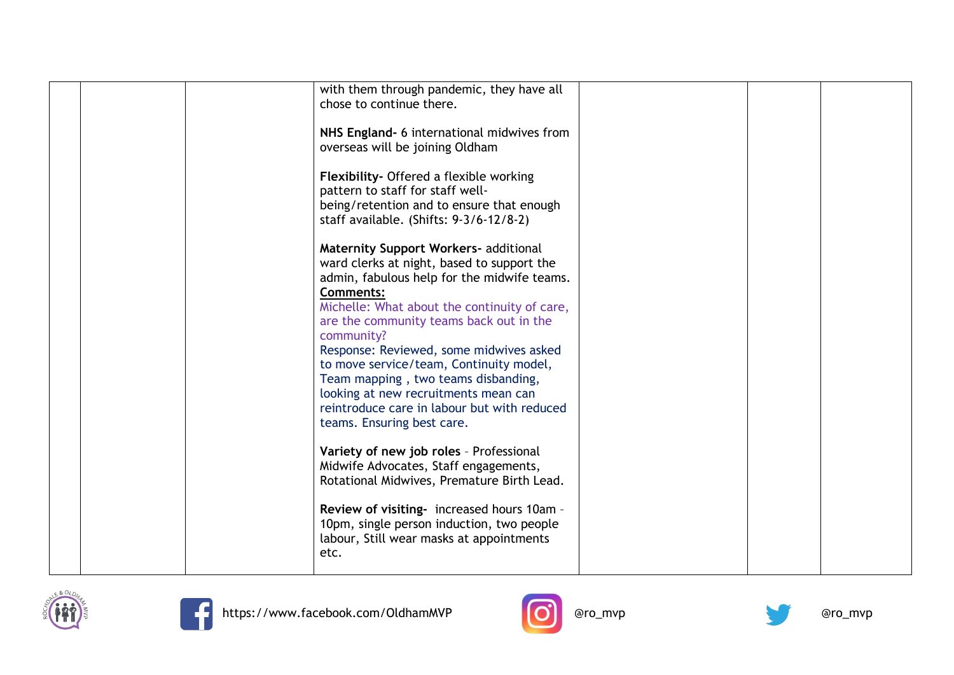|  | with them through pandemic, they have all    |  |  |
|--|----------------------------------------------|--|--|
|  | chose to continue there.                     |  |  |
|  |                                              |  |  |
|  | NHS England- 6 international midwives from   |  |  |
|  |                                              |  |  |
|  | overseas will be joining Oldham              |  |  |
|  |                                              |  |  |
|  | Flexibility- Offered a flexible working      |  |  |
|  | pattern to staff for staff well-             |  |  |
|  | being/retention and to ensure that enough    |  |  |
|  | staff available. (Shifts: 9-3/6-12/8-2)      |  |  |
|  |                                              |  |  |
|  | <b>Maternity Support Workers- additional</b> |  |  |
|  | ward clerks at night, based to support the   |  |  |
|  |                                              |  |  |
|  | admin, fabulous help for the midwife teams.  |  |  |
|  | <b>Comments:</b>                             |  |  |
|  | Michelle: What about the continuity of care, |  |  |
|  | are the community teams back out in the      |  |  |
|  | community?                                   |  |  |
|  | Response: Reviewed, some midwives asked      |  |  |
|  | to move service/team, Continuity model,      |  |  |
|  | Team mapping, two teams disbanding,          |  |  |
|  | looking at new recruitments mean can         |  |  |
|  |                                              |  |  |
|  | reintroduce care in labour but with reduced  |  |  |
|  | teams. Ensuring best care.                   |  |  |
|  |                                              |  |  |
|  | Variety of new job roles - Professional      |  |  |
|  | Midwife Advocates, Staff engagements,        |  |  |
|  | Rotational Midwives, Premature Birth Lead.   |  |  |
|  |                                              |  |  |
|  | Review of visiting- increased hours 10am -   |  |  |
|  | 10pm, single person induction, two people    |  |  |
|  |                                              |  |  |
|  | labour, Still wear masks at appointments     |  |  |
|  | etc.                                         |  |  |
|  |                                              |  |  |





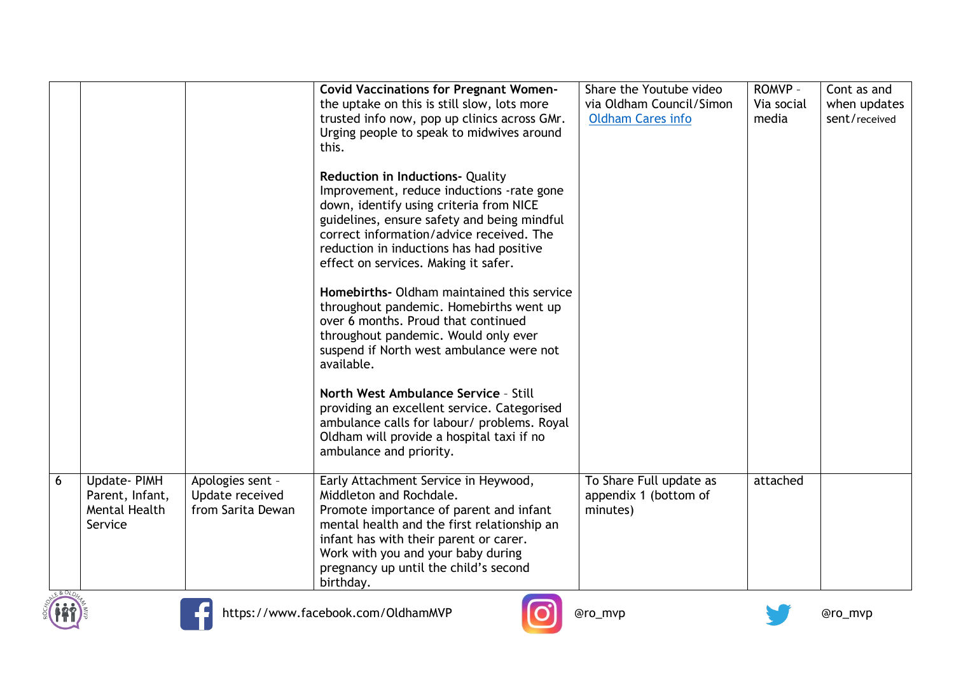|   |                                                            |                                                          | <b>Covid Vaccinations for Pregnant Women-</b><br>the uptake on this is still slow, lots more<br>trusted info now, pop up clinics across GMr.<br>Urging people to speak to midwives around<br>this.<br><b>Reduction in Inductions- Quality</b><br>Improvement, reduce inductions -rate gone<br>down, identify using criteria from NICE<br>guidelines, ensure safety and being mindful<br>correct information/advice received. The<br>reduction in inductions has had positive<br>effect on services. Making it safer.<br>Homebirths - Oldham maintained this service<br>throughout pandemic. Homebirths went up<br>over 6 months. Proud that continued<br>throughout pandemic. Would only ever<br>suspend if North west ambulance were not<br>available.<br>North West Ambulance Service - Still<br>providing an excellent service. Categorised<br>ambulance calls for labour/ problems. Royal<br>Oldham will provide a hospital taxi if no<br>ambulance and priority. | Share the Youtube video<br>via Oldham Council/Simon<br><b>Oldham Cares info</b> | ROMVP -<br>Via social<br>media | Cont as and<br>when updates<br>sent/received |
|---|------------------------------------------------------------|----------------------------------------------------------|-----------------------------------------------------------------------------------------------------------------------------------------------------------------------------------------------------------------------------------------------------------------------------------------------------------------------------------------------------------------------------------------------------------------------------------------------------------------------------------------------------------------------------------------------------------------------------------------------------------------------------------------------------------------------------------------------------------------------------------------------------------------------------------------------------------------------------------------------------------------------------------------------------------------------------------------------------------------------|---------------------------------------------------------------------------------|--------------------------------|----------------------------------------------|
| 6 | Update-PIMH<br>Parent, Infant,<br>Mental Health<br>Service | Apologies sent -<br>Update received<br>from Sarita Dewan | Early Attachment Service in Heywood,<br>Middleton and Rochdale.<br>Promote importance of parent and infant<br>mental health and the first relationship an<br>infant has with their parent or carer.<br>Work with you and your baby during<br>pregnancy up until the child's second<br>birthday.                                                                                                                                                                                                                                                                                                                                                                                                                                                                                                                                                                                                                                                                       | To Share Full update as<br>appendix 1 (bottom of<br>minutes)                    | attached                       |                                              |



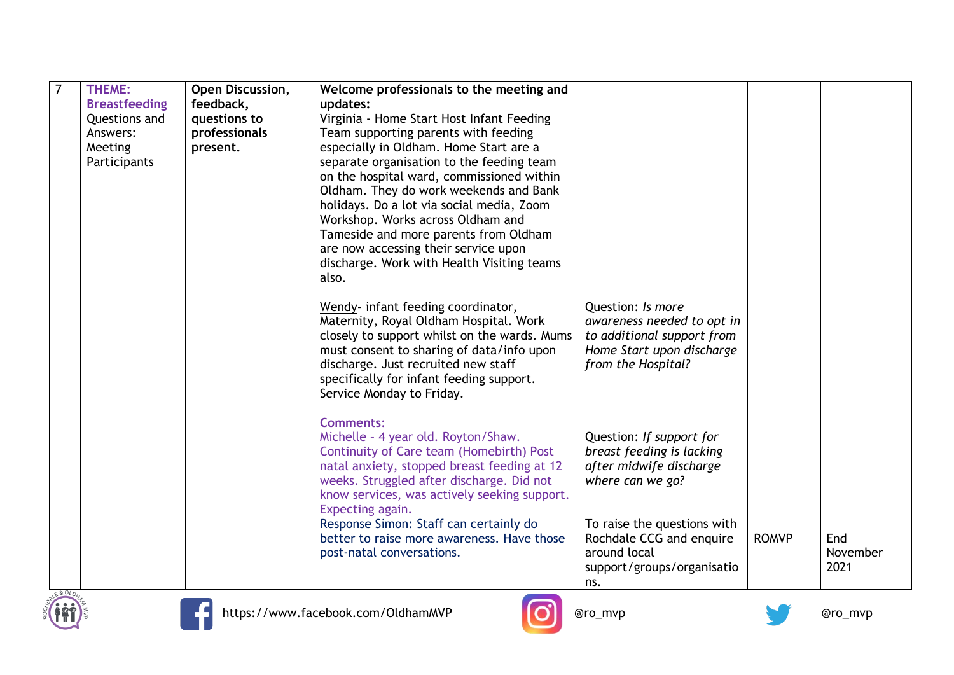| THEME:               | Open Discussion, | Welcome professionals to the meeting and                                               |                                                 |              |          |
|----------------------|------------------|----------------------------------------------------------------------------------------|-------------------------------------------------|--------------|----------|
| <b>Breastfeeding</b> | feedback,        | updates:                                                                               |                                                 |              |          |
| Questions and        | questions to     | Virginia - Home Start Host Infant Feeding                                              |                                                 |              |          |
| Answers:             | professionals    | Team supporting parents with feeding                                                   |                                                 |              |          |
| Meeting              | present.         | especially in Oldham. Home Start are a                                                 |                                                 |              |          |
| Participants         |                  | separate organisation to the feeding team                                              |                                                 |              |          |
|                      |                  | on the hospital ward, commissioned within                                              |                                                 |              |          |
|                      |                  | Oldham. They do work weekends and Bank                                                 |                                                 |              |          |
|                      |                  | holidays. Do a lot via social media, Zoom                                              |                                                 |              |          |
|                      |                  | Workshop. Works across Oldham and                                                      |                                                 |              |          |
|                      |                  | Tameside and more parents from Oldham                                                  |                                                 |              |          |
|                      |                  | are now accessing their service upon                                                   |                                                 |              |          |
|                      |                  | discharge. Work with Health Visiting teams                                             |                                                 |              |          |
|                      |                  | also.                                                                                  |                                                 |              |          |
|                      |                  |                                                                                        |                                                 |              |          |
|                      |                  | Wendy- infant feeding coordinator,                                                     | Question: Is more<br>awareness needed to opt in |              |          |
|                      |                  | Maternity, Royal Oldham Hospital. Work<br>closely to support whilst on the wards. Mums | to additional support from                      |              |          |
|                      |                  | must consent to sharing of data/info upon                                              | Home Start upon discharge                       |              |          |
|                      |                  | discharge. Just recruited new staff                                                    | from the Hospital?                              |              |          |
|                      |                  | specifically for infant feeding support.                                               |                                                 |              |          |
|                      |                  | Service Monday to Friday.                                                              |                                                 |              |          |
|                      |                  |                                                                                        |                                                 |              |          |
|                      |                  | <b>Comments:</b>                                                                       |                                                 |              |          |
|                      |                  | Michelle - 4 year old. Royton/Shaw.                                                    | Question: If support for                        |              |          |
|                      |                  | Continuity of Care team (Homebirth) Post                                               | breast feeding is lacking                       |              |          |
|                      |                  | natal anxiety, stopped breast feeding at 12                                            | after midwife discharge                         |              |          |
|                      |                  | weeks. Struggled after discharge. Did not                                              | where can we go?                                |              |          |
|                      |                  | know services, was actively seeking support.                                           |                                                 |              |          |
|                      |                  | Expecting again.                                                                       |                                                 |              |          |
|                      |                  | Response Simon: Staff can certainly do                                                 | To raise the questions with                     |              |          |
|                      |                  | better to raise more awareness. Have those                                             | Rochdale CCG and enquire                        | <b>ROMVP</b> | End      |
|                      |                  | post-natal conversations.                                                              | around local                                    |              | November |
|                      |                  |                                                                                        | support/groups/organisatio                      |              | 2021     |
|                      |                  |                                                                                        | ns.                                             |              |          |





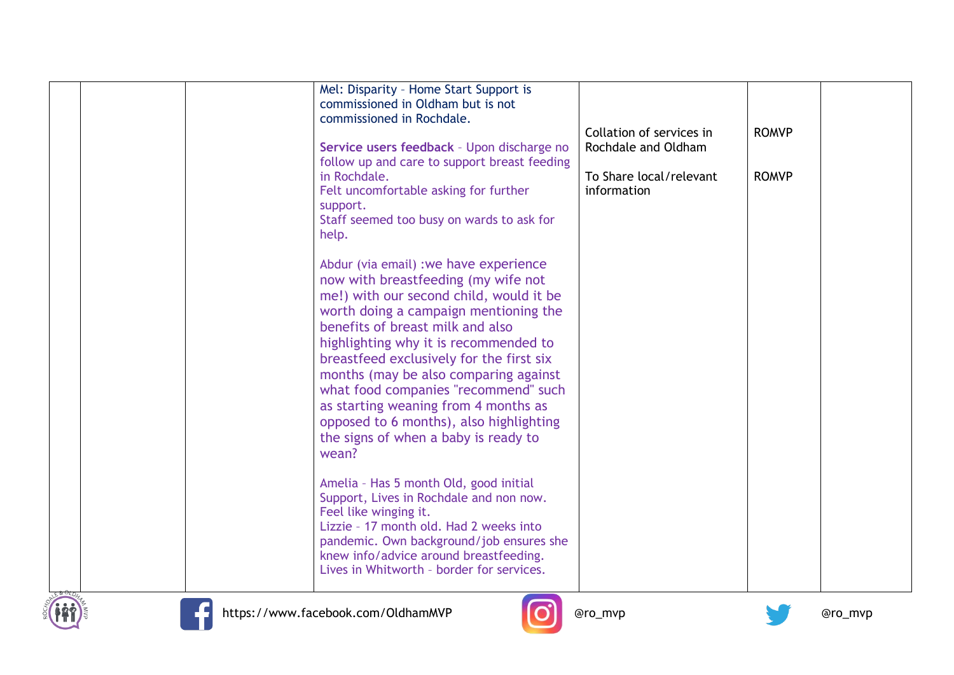|       | Mel: Disparity - Home Start Support is<br>commissioned in Oldham but is not<br>commissioned in Rochdale.<br>Service users feedback - Upon discharge no<br>follow up and care to support breast feeding<br>in Rochdale.<br>Felt uncomfortable asking for further<br>support.<br>Staff seemed too busy on wards to ask for                                                                                                                                                                                                                                                                                                                                                                                                                                                                                    | Collation of services in<br>Rochdale and Oldham<br>To Share local/relevant<br>information | <b>ROMVP</b><br><b>ROMVP</b> |  |
|-------|-------------------------------------------------------------------------------------------------------------------------------------------------------------------------------------------------------------------------------------------------------------------------------------------------------------------------------------------------------------------------------------------------------------------------------------------------------------------------------------------------------------------------------------------------------------------------------------------------------------------------------------------------------------------------------------------------------------------------------------------------------------------------------------------------------------|-------------------------------------------------------------------------------------------|------------------------------|--|
| help. | Abdur (via email) : we have experience<br>now with breastfeeding (my wife not<br>me!) with our second child, would it be<br>worth doing a campaign mentioning the<br>benefits of breast milk and also<br>highlighting why it is recommended to<br>breastfeed exclusively for the first six<br>months (may be also comparing against<br>what food companies "recommend" such<br>as starting weaning from 4 months as<br>opposed to 6 months), also highlighting<br>the signs of when a baby is ready to<br>wean?<br>Amelia - Has 5 month Old, good initial<br>Support, Lives in Rochdale and non now.<br>Feel like winging it.<br>Lizzie - 17 month old. Had 2 weeks into<br>pandemic. Own background/job ensures she<br>knew info/advice around breastfeeding.<br>Lives in Whitworth - border for services. |                                                                                           |                              |  |





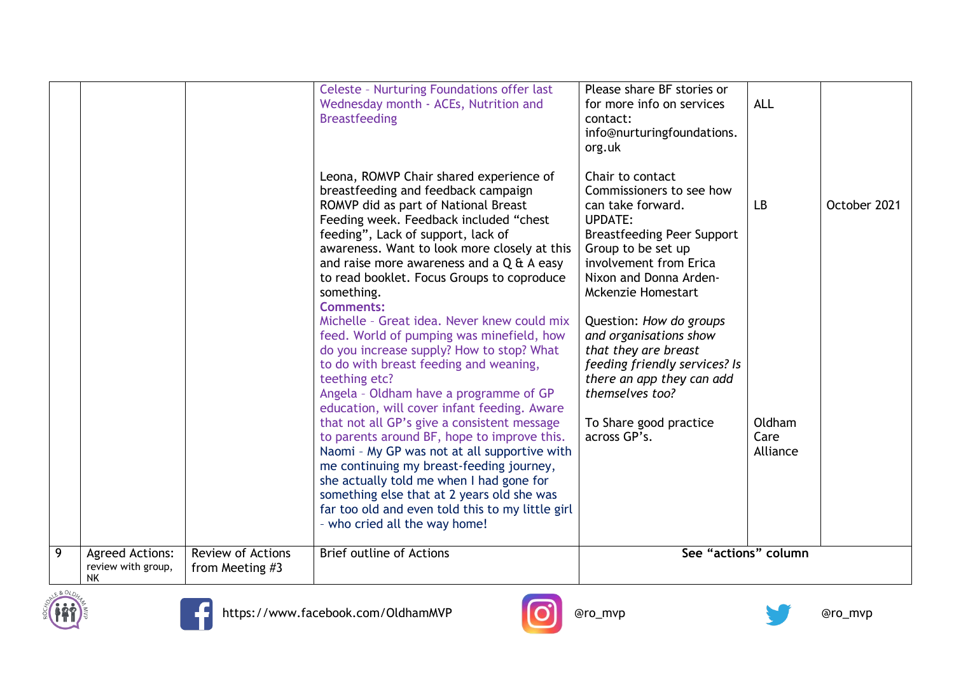|   |                          |                          | Celeste - Nurturing Foundations offer last<br>Wednesday month - ACEs, Nutrition and<br><b>Breastfeeding</b><br>Leona, ROMVP Chair shared experience of<br>breastfeeding and feedback campaign<br>ROMVP did as part of National Breast<br>Feeding week. Feedback included "chest<br>feeding", Lack of support, lack of<br>awareness. Want to look more closely at this<br>and raise more awareness and a $Q \nleftrightarrow A$ easy<br>to read booklet. Focus Groups to coproduce<br>something.<br><b>Comments:</b><br>Michelle - Great idea. Never knew could mix<br>feed. World of pumping was minefield, how<br>do you increase supply? How to stop? What<br>to do with breast feeding and weaning, | Please share BF stories or<br>for more info on services<br>contact:<br>info@nurturingfoundations.<br>org.uk<br>Chair to contact<br>Commissioners to see how<br>can take forward.<br><b>UPDATE:</b><br><b>Breastfeeding Peer Support</b><br>Group to be set up<br>involvement from Erica<br>Nixon and Donna Arden-<br><b>Mckenzie Homestart</b><br>Question: How do groups<br>and organisations show<br>that they are breast<br>feeding friendly services? Is | <b>ALL</b><br>LB           | October 2021 |
|---|--------------------------|--------------------------|--------------------------------------------------------------------------------------------------------------------------------------------------------------------------------------------------------------------------------------------------------------------------------------------------------------------------------------------------------------------------------------------------------------------------------------------------------------------------------------------------------------------------------------------------------------------------------------------------------------------------------------------------------------------------------------------------------|--------------------------------------------------------------------------------------------------------------------------------------------------------------------------------------------------------------------------------------------------------------------------------------------------------------------------------------------------------------------------------------------------------------------------------------------------------------|----------------------------|--------------|
| 9 | <b>Agreed Actions:</b>   | <b>Review of Actions</b> | teething etc?<br>Angela - Oldham have a programme of GP<br>education, will cover infant feeding. Aware<br>that not all GP's give a consistent message<br>to parents around BF, hope to improve this.<br>Naomi - My GP was not at all supportive with<br>me continuing my breast-feeding journey,<br>she actually told me when I had gone for<br>something else that at 2 years old she was<br>far too old and even told this to my little girl<br>- who cried all the way home!<br><b>Brief outline of Actions</b>                                                                                                                                                                                     | there an app they can add<br>themselves too?<br>To Share good practice<br>across GP's.<br>See "actions" column                                                                                                                                                                                                                                                                                                                                               | Oldham<br>Care<br>Alliance |              |
|   | review with group,<br>ΝK | from Meeting #3          |                                                                                                                                                                                                                                                                                                                                                                                                                                                                                                                                                                                                                                                                                                        |                                                                                                                                                                                                                                                                                                                                                                                                                                                              |                            |              |







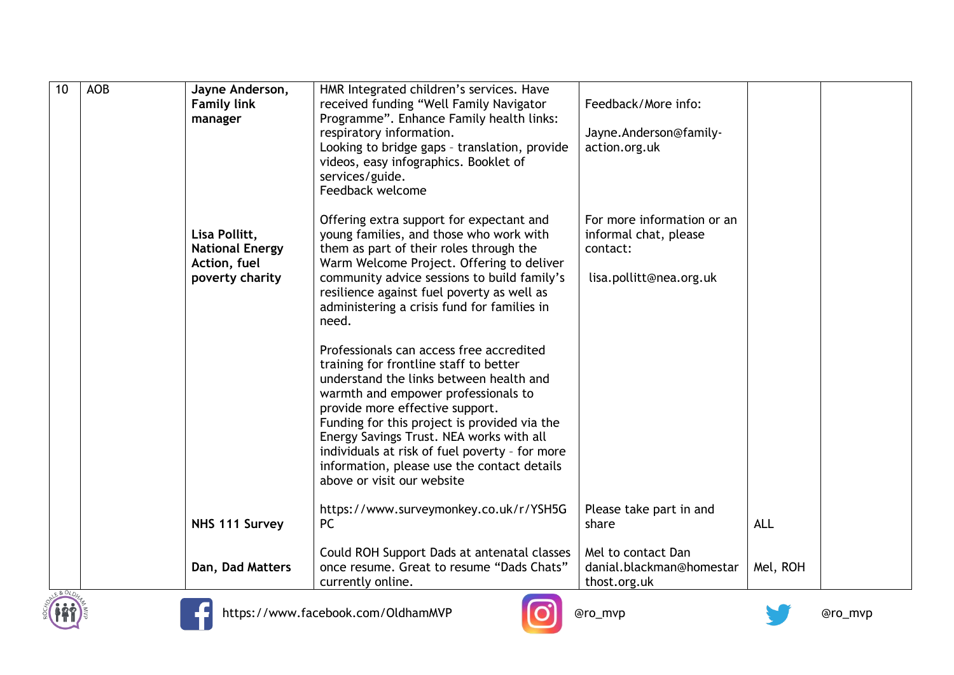| 10       | <b>AOB</b> | Jayne Anderson,<br><b>Family link</b><br>manager                           | HMR Integrated children's services. Have<br>received funding "Well Family Navigator<br>Programme". Enhance Family health links:<br>respiratory information.<br>Looking to bridge gaps - translation, provide<br>videos, easy infographics. Booklet of<br>services/guide.<br>Feedback welcome                                                                                                                                       | Feedback/More info:<br>Jayne. Anderson@family-<br>action.org.uk                            |            |  |
|----------|------------|----------------------------------------------------------------------------|------------------------------------------------------------------------------------------------------------------------------------------------------------------------------------------------------------------------------------------------------------------------------------------------------------------------------------------------------------------------------------------------------------------------------------|--------------------------------------------------------------------------------------------|------------|--|
|          |            | Lisa Pollitt,<br><b>National Energy</b><br>Action, fuel<br>poverty charity | Offering extra support for expectant and<br>young families, and those who work with<br>them as part of their roles through the<br>Warm Welcome Project. Offering to deliver<br>community advice sessions to build family's<br>resilience against fuel poverty as well as<br>administering a crisis fund for families in<br>need.                                                                                                   | For more information or an<br>informal chat, please<br>contact:<br>lisa.pollitt@nea.org.uk |            |  |
|          |            |                                                                            | Professionals can access free accredited<br>training for frontline staff to better<br>understand the links between health and<br>warmth and empower professionals to<br>provide more effective support.<br>Funding for this project is provided via the<br>Energy Savings Trust. NEA works with all<br>individuals at risk of fuel poverty - for more<br>information, please use the contact details<br>above or visit our website |                                                                                            |            |  |
|          |            | NHS 111 Survey                                                             | https://www.surveymonkey.co.uk/r/YSH5G<br><b>PC</b>                                                                                                                                                                                                                                                                                                                                                                                | Please take part in and<br>share                                                           | <b>ALL</b> |  |
| E & OLDN |            | Dan, Dad Matters                                                           | Could ROH Support Dads at antenatal classes<br>once resume. Great to resume "Dads Chats"<br>currently online.                                                                                                                                                                                                                                                                                                                      | Mel to contact Dan<br>danial.blackman@homestar<br>thost.org.uk                             | Mel, ROH   |  |





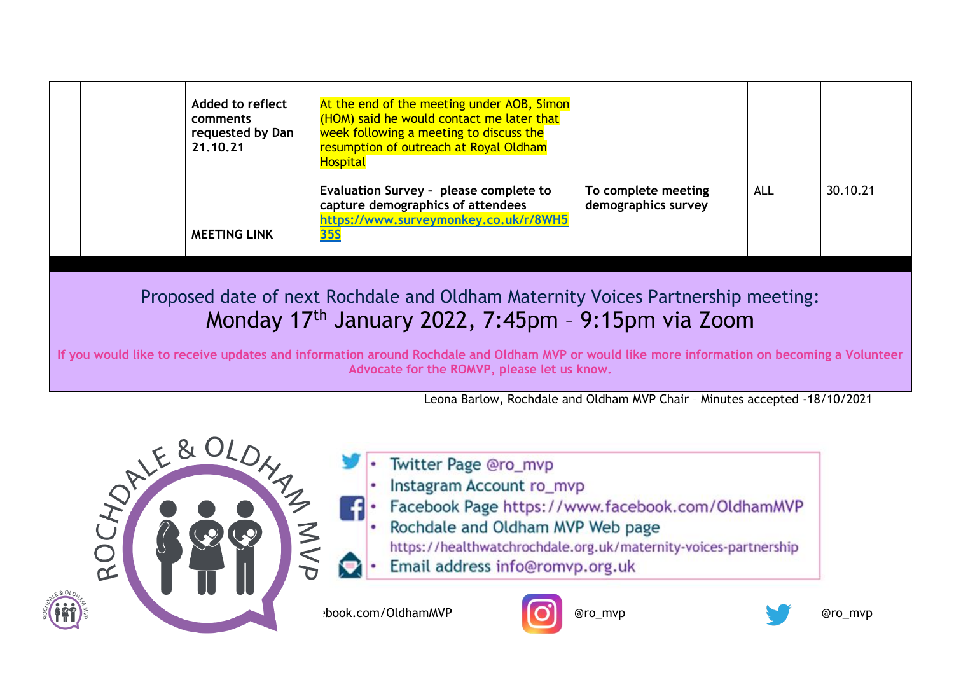| Added to reflect<br>comments<br>requested by Dan<br>21.10.21 | At the end of the meeting under AOB, Simon<br>(HOM) said he would contact me later that<br>week following a meeting to discuss the<br>resumption of outreach at Royal Oldham<br><b>Hospital</b> |                                            |            |          |
|--------------------------------------------------------------|-------------------------------------------------------------------------------------------------------------------------------------------------------------------------------------------------|--------------------------------------------|------------|----------|
| <b>MEETING LINK</b>                                          | Evaluation Survey - please complete to<br>capture demographics of attendees<br>https://www.surveymonkey.co.uk/r/8WH5<br><b>35S</b>                                                              | To complete meeting<br>demographics survey | <b>ALL</b> | 30.10.21 |

### Proposed date of next Rochdale and Oldham Maternity Voices Partnership meeting: Monday 17th January 2022, 7:45pm – 9:15pm via Zoom

**If you would like to receive updates and information around Rochdale and Oldham MVP or would like more information on becoming a Volunteer Advocate for the ROMVP, please let us know.**

Leona Barlow, Rochdale and Oldham MVP Chair – Minutes accepted -18/10/2021



- Twitter Page @ro\_mvp
- Instagram Account ro\_mvp
- Facebook Page https://www.facebook.com/OldhamMVP
- Rochdale and Oldham MVP Web page
	- https://healthwatchrochdale.org.uk/maternity-voices-partnership
- Email address info@romvp.org.uk

https://www.com/OldhamMVP **and COL** @ro\_mvp @ro\_mvp @ro\_mvp @ro\_mvp @ro\_mvp @ro\_mvp



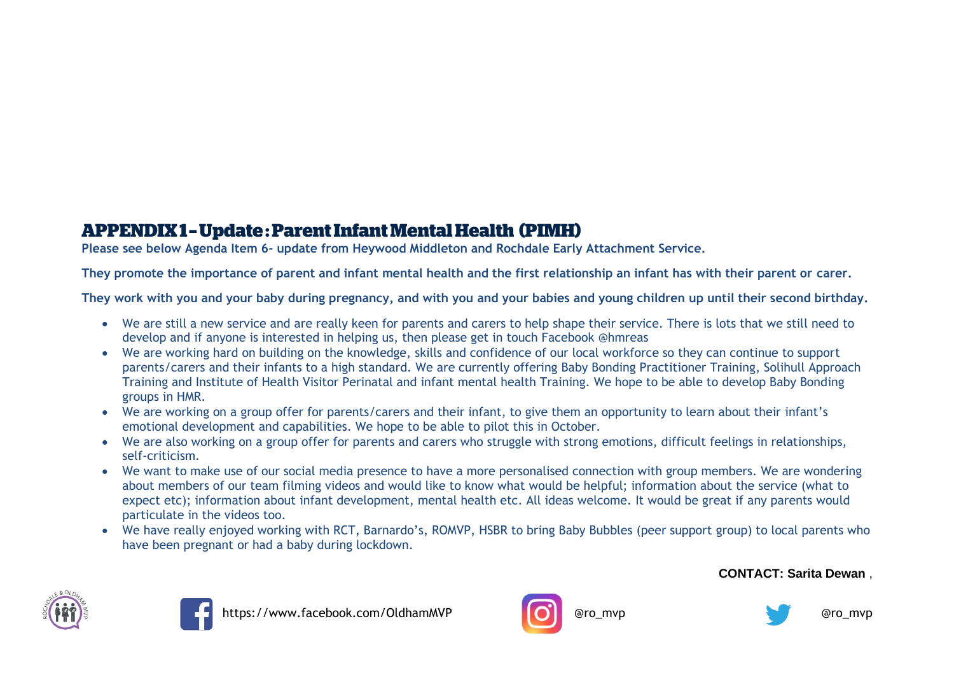#### **APPENDIX1-Update: Parent Infant Mental Health (PIMH)**

**Please see below Agenda Item 6- update from Heywood Middleton and Rochdale Early Attachment Service.**

**They promote the importance of parent and infant mental health and the first relationship an infant has with their parent or carer.**

**They work with you and your baby during pregnancy, and with you and your babies and young children up until their second birthday.**

- We are still a new service and are really keen for parents and carers to help shape their service. There is lots that we still need to develop and if anyone is interested in helping us, then please get in touch Facebook @hmreas
- We are working hard on building on the knowledge, skills and confidence of our local workforce so they can continue to support parents/carers and their infants to a high standard. We are currently offering Baby Bonding Practitioner Training, Solihull Approach Training and Institute of Health Visitor Perinatal and infant mental health Training. We hope to be able to develop Baby Bonding groups in HMR.
- We are working on a group offer for parents/carers and their infant, to give them an opportunity to learn about their infant's emotional development and capabilities. We hope to be able to pilot this in October.
- We are also working on a group offer for parents and carers who struggle with strong emotions, difficult feelings in relationships, self-criticism.
- We want to make use of our social media presence to have a more personalised connection with group members. We are wondering about members of our team filming videos and would like to know what would be helpful; information about the service (what to expect etc); information about infant development, mental health etc. All ideas welcome. It would be great if any parents would particulate in the videos too.
- We have really enjoyed working with RCT, Barnardo's, ROMVP, HSBR to bring Baby Bubbles (peer support group) to local parents who have been pregnant or had a baby during lockdown.

#### **CONTACT: Sarita Dewan** ,